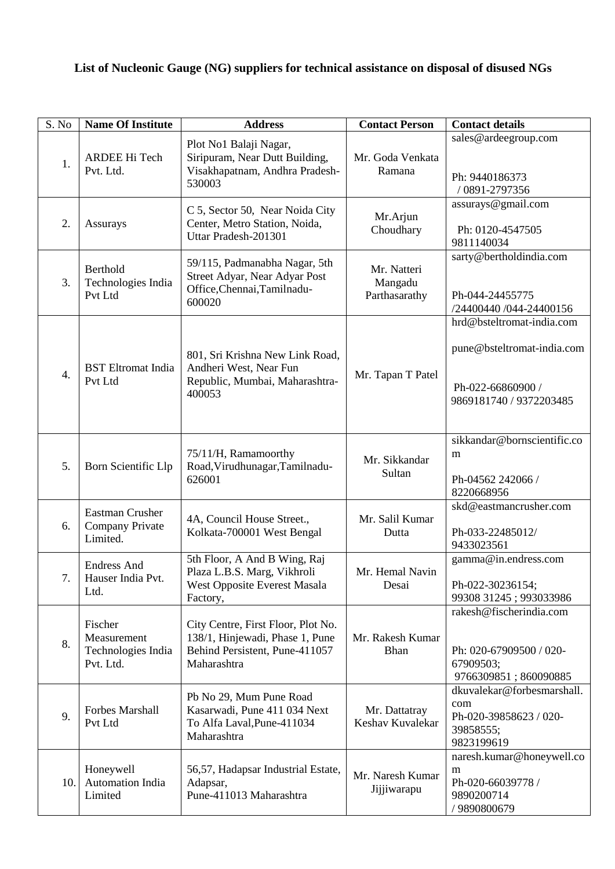## **List of Nucleonic Gauge (NG) suppliers for technical assistance on disposal of disused NGs**

| S. No            | <b>Name Of Institute</b>                                  | <b>Address</b>                                                                                                         | <b>Contact Person</b>                   | <b>Contact details</b>                                                                                  |
|------------------|-----------------------------------------------------------|------------------------------------------------------------------------------------------------------------------------|-----------------------------------------|---------------------------------------------------------------------------------------------------------|
| 1.               | <b>ARDEE Hi Tech</b><br>Pvt. Ltd.                         | Plot No1 Balaji Nagar,<br>Siripuram, Near Dutt Building,<br>Visakhapatnam, Andhra Pradesh-<br>530003                   | Mr. Goda Venkata<br>Ramana              | sales@ardeegroup.com<br>Ph: 9440186373<br>/ 0891-2797356                                                |
| 2.               | Assurays                                                  | C 5, Sector 50, Near Noida City<br>Center, Metro Station, Noida,<br>Uttar Pradesh-201301                               | Mr.Arjun<br>Choudhary                   | assurays@gmail.com<br>Ph: 0120-4547505<br>9811140034                                                    |
| 3.               | Berthold<br>Technologies India<br>Pvt Ltd                 | 59/115, Padmanabha Nagar, 5th<br>Street Adyar, Near Adyar Post<br>Office, Chennai, Tamilnadu-<br>600020                | Mr. Natteri<br>Mangadu<br>Parthasarathy | sarty@bertholdindia.com<br>Ph-044-24455775<br>/24400440 /044-24400156                                   |
| $\overline{4}$ . | <b>BST</b> Eltromat India<br>Pvt Ltd                      | 801, Sri Krishna New Link Road,<br>Andheri West, Near Fun<br>Republic, Mumbai, Maharashtra-<br>400053                  | Mr. Tapan T Patel                       | hrd@bsteltromat-india.com<br>pune@bsteltromat-india.com<br>Ph-022-66860900 /<br>9869181740 / 9372203485 |
| 5.               | Born Scientific Llp                                       | 75/11/H, Ramamoorthy<br>Road, Virudhunagar, Tamilnadu-<br>626001                                                       | Mr. Sikkandar<br>Sultan                 | sikkandar@bornscientific.co<br>m<br>Ph-04562 242066 /<br>8220668956                                     |
| 6.               | Eastman Crusher<br><b>Company Private</b><br>Limited.     | 4A, Council House Street.,<br>Kolkata-700001 West Bengal                                                               | Mr. Salil Kumar<br>Dutta                | skd@eastmancrusher.com<br>Ph-033-22485012/<br>9433023561                                                |
| 7.               | <b>Endress And</b><br>Hauser India Pvt.<br>Ltd.           | 5th Floor, A And B Wing, Raj<br>Plaza L.B.S. Marg, Vikhroli<br>West Opposite Everest Masala<br>Factory,                | Mr. Hemal Navin<br>Desai                | gamma@in.endress.com<br>Ph-022-30236154;<br>99308 31245; 993033986                                      |
| 8.               | Fischer<br>Measurement<br>Technologies India<br>Pvt. Ltd. | City Centre, First Floor, Plot No.<br>138/1, Hinjewadi, Phase 1, Pune<br>Behind Persistent, Pune-411057<br>Maharashtra | Mr. Rakesh Kumar<br>Bhan                | rakesh@fischerindia.com<br>Ph: 020-67909500 / 020-<br>67909503;<br>9766309851; 860090885                |
| 9.               | Forbes Marshall<br>Pvt Ltd                                | Pb No 29, Mum Pune Road<br>Kasarwadi, Pune 411 034 Next<br>To Alfa Laval, Pune-411034<br>Maharashtra                   | Mr. Dattatray<br>Keshav Kuvalekar       | dkuvalekar@forbesmarshall.<br>com<br>Ph-020-39858623 / 020-<br>39858555;<br>9823199619                  |
| 10.              | Honeywell<br>Automation India<br>Limited                  | 56,57, Hadapsar Industrial Estate,<br>Adapsar,<br>Pune-411013 Maharashtra                                              | Mr. Naresh Kumar<br>Jijjiwarapu         | naresh.kumar@honeywell.co<br>m<br>Ph-020-66039778 /<br>9890200714<br>/9890800679                        |